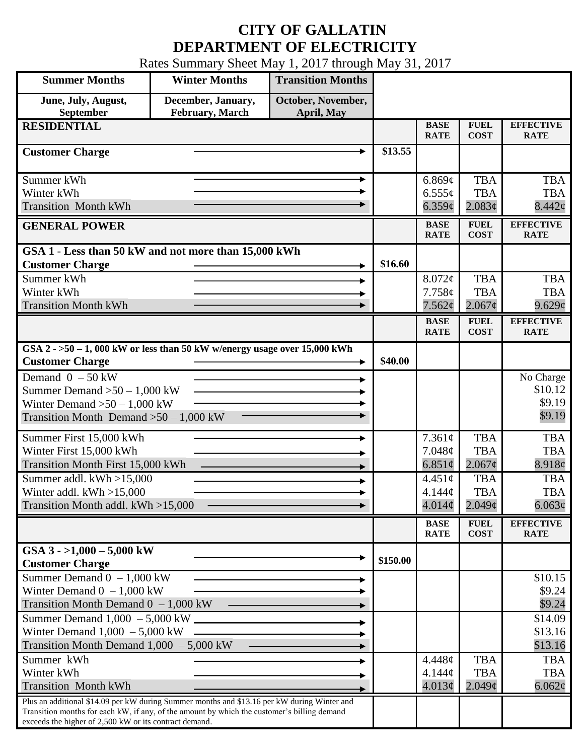## **CITY OF GALLATIN DEPARTMENT OF ELECTRICITY**

Rates Summary Sheet May 1, 2017 through May 31, 2017

| <b>Summer Months</b>                                                                                                                                                                                                                                 | <b>Winter Months</b>                         | <b>Transition Months</b>         |          |                                                                |                                                                |                                                                |
|------------------------------------------------------------------------------------------------------------------------------------------------------------------------------------------------------------------------------------------------------|----------------------------------------------|----------------------------------|----------|----------------------------------------------------------------|----------------------------------------------------------------|----------------------------------------------------------------|
| June, July, August,<br>September                                                                                                                                                                                                                     | December, January,<br><b>February, March</b> | October, November,<br>April, May |          |                                                                |                                                                |                                                                |
| <b>RESIDENTIAL</b>                                                                                                                                                                                                                                   |                                              |                                  |          | <b>BASE</b><br><b>RATE</b>                                     | <b>FUEL</b><br><b>COST</b>                                     | <b>EFFECTIVE</b><br><b>RATE</b>                                |
| <b>Customer Charge</b>                                                                                                                                                                                                                               |                                              |                                  | \$13.55  |                                                                |                                                                |                                                                |
| Summer kWh<br>Winter kWh<br><b>Transition Month kWh</b>                                                                                                                                                                                              |                                              |                                  |          | 6.869¢<br>$6.555\phi$<br>6.359¢                                | <b>TBA</b><br><b>TBA</b><br>2.083¢                             | <b>TBA</b><br><b>TBA</b><br>8.442¢                             |
| <b>GENERAL POWER</b>                                                                                                                                                                                                                                 |                                              |                                  |          | <b>BASE</b><br><b>RATE</b>                                     | <b>FUEL</b><br><b>COST</b>                                     | <b>EFFECTIVE</b><br><b>RATE</b>                                |
| GSA 1 - Less than 50 kW and not more than 15,000 kWh<br><b>Customer Charge</b>                                                                                                                                                                       |                                              |                                  | \$16.60  |                                                                |                                                                |                                                                |
| Summer kWh<br>Winter kWh<br><b>Transition Month kWh</b>                                                                                                                                                                                              |                                              |                                  |          | $8.072\phi$<br>7.758¢<br>7.562¢                                | <b>TBA</b><br><b>TBA</b><br>$2.067\phi$                        | <b>TBA</b><br><b>TBA</b><br>9.629¢                             |
|                                                                                                                                                                                                                                                      |                                              |                                  |          | <b>BASE</b><br><b>RATE</b>                                     | <b>FUEL</b><br><b>COST</b>                                     | <b>EFFECTIVE</b><br><b>RATE</b>                                |
| GSA $2 - 50 - 1$ , 000 kW or less than 50 kW w/energy usage over 15,000 kWh<br><b>Customer Charge</b>                                                                                                                                                |                                              |                                  | \$40.00  |                                                                |                                                                |                                                                |
| Demand $0 - 50$ kW<br>Summer Demand $>50 - 1,000$ kW<br>Winter Demand $>50-1,000$ kW<br>Transition Month Demand $>50-1,000$ kW                                                                                                                       |                                              |                                  |          |                                                                |                                                                | No Charge<br>\$10.12<br>\$9.19<br>\$9.19                       |
| Summer First 15,000 kWh<br>Winter First 15,000 kWh<br>Transition Month First 15,000 kWh<br>Summer addl. $kWh > 15,000$<br>Winter addl. $kWh > 15,000$                                                                                                |                                              |                                  |          | $7.361\phi$<br>7.048¢<br>6.851 $\phi$<br>$4.451\phi$<br>4.144¢ | <b>TBA</b><br><b>TBA</b><br>2.067¢<br><b>TBA</b><br><b>TBA</b> | <b>TBA</b><br><b>TBA</b><br>8.918¢<br><b>TBA</b><br><b>TBA</b> |
| Transition Month addl. kWh >15,000                                                                                                                                                                                                                   |                                              |                                  |          | 4.014¢<br><b>BASE</b>                                          | 2.049 <sub>c</sub><br><b>FUEL</b>                              | $6.063\phi$<br><b>EFFECTIVE</b>                                |
| GSA $3 - 1,000 - 5,000$ kW<br><b>Customer Charge</b>                                                                                                                                                                                                 |                                              |                                  | \$150.00 | <b>RATE</b>                                                    | <b>COST</b>                                                    | <b>RATE</b>                                                    |
| Summer Demand $0 - 1,000$ kW<br>Winter Demand $0 - 1,000$ kW<br>Transition Month Demand $0 - 1,000$ kW                                                                                                                                               |                                              |                                  |          |                                                                |                                                                | \$10.15<br>\$9.24<br>\$9.24                                    |
| Winter Demand $1,000 - 5,000$ kW<br>Transition Month Demand $1,000 - 5,000$ kW                                                                                                                                                                       |                                              |                                  |          |                                                                |                                                                | \$14.09<br>\$13.16<br>\$13.16                                  |
| Summer kWh<br>Winter kWh<br><b>Transition Month kWh</b>                                                                                                                                                                                              |                                              |                                  |          | 4.448¢<br>4.144¢<br>4.013¢                                     | <b>TBA</b><br><b>TBA</b><br>$2.049\mathcal{C}$                 | <b>TBA</b><br><b>TBA</b><br>$6.062\phi$                        |
| Plus an additional \$14.09 per kW during Summer months and \$13.16 per kW during Winter and<br>Transition months for each kW, if any, of the amount by which the customer's billing demand<br>exceeds the higher of 2,500 kW or its contract demand. |                                              |                                  |          |                                                                |                                                                |                                                                |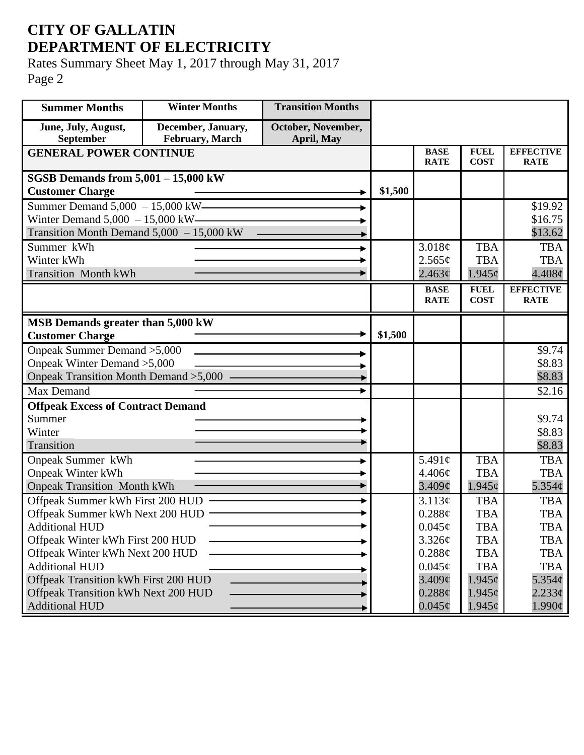## **CITY OF GALLATIN DEPARTMENT OF ELECTRICITY**

Rates Summary Sheet May 1, 2017 through May 31, 2017 Page 2

| <b>Summer Months</b>                                                              | <b>Winter Months</b>                  | <b>Transition Months</b>         |         |                    |                |                    |
|-----------------------------------------------------------------------------------|---------------------------------------|----------------------------------|---------|--------------------|----------------|--------------------|
| June, July, August,<br>September                                                  | December, January,<br>February, March | October, November,<br>April, May |         |                    |                |                    |
| <b>GENERAL POWER CONTINUE</b>                                                     |                                       |                                  |         | <b>BASE</b>        | <b>FUEL</b>    | <b>EFFECTIVE</b>   |
|                                                                                   |                                       |                                  |         | <b>RATE</b>        | <b>COST</b>    | <b>RATE</b>        |
| <b>SGSB Demands from 5,001 - 15,000 kW</b>                                        |                                       |                                  |         |                    |                |                    |
| <b>Customer Charge</b>                                                            |                                       |                                  | \$1,500 |                    |                |                    |
| Summer Demand 5,000 - 15,000 kW————                                               |                                       |                                  |         |                    |                | \$19.92            |
| Winter Demand $5,000 - 15,000$ kW-<br>Transition Month Demand $5,000 - 15,000$ kW |                                       |                                  |         |                    |                | \$16.75<br>\$13.62 |
| Summer kWh                                                                        |                                       |                                  |         | 3.018¢             | <b>TBA</b>     | <b>TBA</b>         |
| Winter kWh                                                                        |                                       |                                  |         | 2.565¢             | <b>TBA</b>     | <b>TBA</b>         |
| <b>Transition Month kWh</b>                                                       |                                       |                                  |         | 2.463¢             | $1.945\phi$    | $4.408\phi$        |
|                                                                                   |                                       |                                  |         | <b>BASE</b>        | <b>FUEL</b>    | <b>EFFECTIVE</b>   |
|                                                                                   |                                       |                                  |         | <b>RATE</b>        | <b>COST</b>    | <b>RATE</b>        |
| MSB Demands greater than 5,000 kW                                                 |                                       |                                  |         |                    |                |                    |
| <b>Customer Charge</b>                                                            |                                       |                                  | \$1,500 |                    |                |                    |
| Onpeak Summer Demand > 5,000                                                      |                                       |                                  |         |                    |                | \$9.74             |
| Onpeak Winter Demand > 5,000                                                      |                                       |                                  |         |                    |                | \$8.83             |
| Onpeak Transition Month Demand > 5,000 -                                          |                                       |                                  |         |                    |                | \$8.83             |
| Max Demand                                                                        |                                       |                                  |         |                    |                | \$2.16             |
| <b>Offpeak Excess of Contract Demand</b>                                          |                                       |                                  |         |                    |                |                    |
| Summer                                                                            |                                       |                                  |         |                    |                | \$9.74             |
| Winter                                                                            |                                       |                                  |         |                    |                | \$8.83             |
| Transition                                                                        |                                       |                                  |         |                    |                | \$8.83             |
| <b>Onpeak Summer kWh</b>                                                          |                                       |                                  |         | 5.491 $\phi$       | <b>TBA</b>     | <b>TBA</b>         |
| <b>Onpeak Winter kWh</b>                                                          |                                       |                                  |         | 4.406¢             | <b>TBA</b>     | <b>TBA</b>         |
| <b>Onpeak Transition Month kWh</b>                                                |                                       |                                  |         | 3.409 <sub>c</sub> | 1.945c         | $5.354\phi$        |
| Offpeak Summer kWh First 200 HUD                                                  |                                       |                                  |         | 3.113¢             | <b>TBA</b>     | <b>TBA</b>         |
| Offpeak Summer kWh Next 200 HUD                                                   |                                       |                                  |         | 0.288c             | <b>TBA</b>     | <b>TBA</b>         |
| <b>Additional HUD</b>                                                             |                                       |                                  |         | $0.045\phi$        | TBA            | TBA                |
| Offpeak Winter kWh First 200 HUD                                                  |                                       |                                  |         | 3.326¢             | <b>TBA</b>     | <b>TBA</b>         |
| Offpeak Winter kWh Next 200 HUD                                                   |                                       |                                  |         | 0.288¢             | <b>TBA</b>     | <b>TBA</b>         |
| <b>Additional HUD</b>                                                             |                                       |                                  |         | $0.045\phi$        | <b>TBA</b>     | <b>TBA</b>         |
| Offpeak Transition kWh First 200 HUD                                              |                                       |                                  |         | $3.409\mathcal{C}$ | $1.945\varphi$ | $5.354\varphi$     |
| Offpeak Transition kWh Next 200 HUD<br><b>Additional HUD</b>                      |                                       |                                  |         | $0.288\phi$        | $1.945\phi$    | $2.233\phi$        |
|                                                                                   |                                       |                                  |         | $0.045\phi$        | $1.945\varphi$ | $1.990\phi$        |